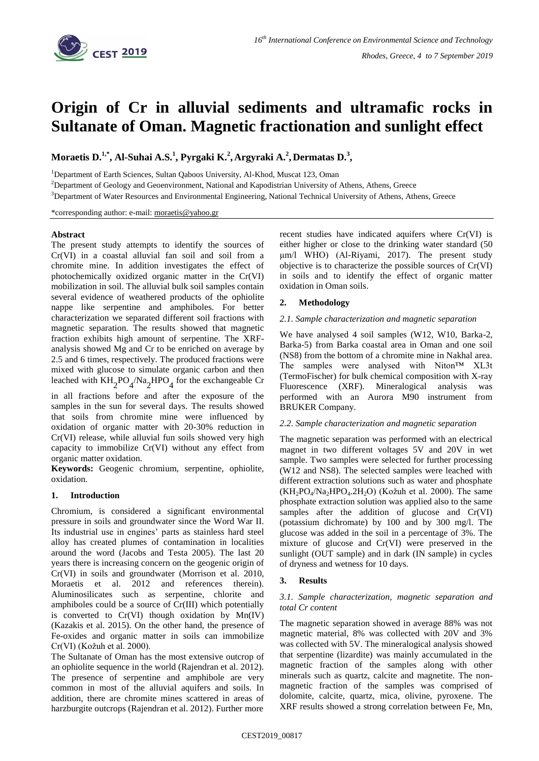

# **Origin of Cr in alluvial sediments and ultramafic rocks in Sultanate of Oman. Magnetic fractionation and sunlight effect**

**Moraetis D.1,\* , Al-Suhai A.S. 1 , Pyrgaki K.<sup>2</sup> , Argyraki A.<sup>2</sup> , Dermatas D. 3 ,**

<sup>1</sup>Department of Earth Sciences, Sultan Qaboos University, Al-Khod, Muscat 123, Oman

<sup>2</sup>Department of Geology and Geoenvironment, National and Kapodistrian University of Athens, Athens, Greece

<sup>3</sup>Department of Water Resources and Environmental Engineering, National Technical University of Athens, Athens, Greece

\*corresponding author: e-mail: [moraetis@yahoo.gr](mailto:moraetis@yahoo.gr)

## **Abstract**

The present study attempts to identify the sources of Cr(VI) in a coastal alluvial fan soil and soil from a chromite mine. In addition investigates the effect of photochemically oxidized organic matter in the Cr(VI) mobilization in soil. The alluvial bulk soil samples contain several evidence of weathered products of the ophiolite nappe like serpentine and amphiboles. For better characterization we separated different soil fractions with magnetic separation. The results showed that magnetic fraction exhibits high amount of serpentine. The XRFanalysis showed Mg and Cr to be enriched on average by 2.5 and 6 times, respectively. The produced fractions were mixed with glucose to simulate organic carbon and then leached with  $KH_{2}PO_{4}/Na_{2}HPO_{4}$  for the exchangeable Cr

in all fractions before and after the exposure of the samples in the sun for several days. The results showed that soils from chromite mine were influenced by oxidation of organic matter with 20-30% reduction in Cr(VI) release, while alluvial fun soils showed very high capacity to immobilize Cr(VI) without any effect from organic matter oxidation.

**Keywords:** Geogenic chromium, serpentine, ophiolite, oxidation.

# **1. Introduction**

Chromium, is considered a significant environmental pressure in soils and groundwater since the Word War II. Its industrial use in engines' parts as stainless hard steel alloy has created plumes of contamination in localities around the word (Jacobs and Testa 2005). The last 20 years there is increasing concern on the geogenic origin of Cr(VI) in soils and groundwater (Morrison et al. 2010, Moraetis et al. 2012 and references therein). Aluminosilicates such as serpentine, chlorite and amphiboles could be a source of Cr(III) which potentially is converted to  $Cr(VI)$  though oxidation by  $Mn(V)$ (Kazakis et al. 2015). On the other hand, the presence of Fe-oxides and organic matter in soils can immobilize Cr(VI) (Kožuh et al. 2000).

The Sultanate of Oman has the most extensive outcrop of an ophiolite sequence in the world (Rajendran et al. 2012). The presence of serpentine and amphibole are very common in most of the alluvial aquifers and soils. In addition, there are chromite mines scattered in areas of harzburgite outcrops (Rajendran et al. 2012). Further more

recent studies have indicated aquifers where Cr(VI) is either higher or close to the drinking water standard (50 μm/l WHO) (Al-Riyami, 2017). The present study objective is to characterize the possible sources of Cr(VI) in soils and to identify the effect of organic matter oxidation in Oman soils.

# **2. Methodology**

## *2.1. Sample characterization and magnetic separation*

We have analysed 4 soil samples (W12, W10, Barka-2, Barka-5) from Barka coastal area in Oman and one soil (NS8) from the bottom of a chromite mine in Nakhal area. The samples were analysed with Niton™ XL3t (TermoFischer) for bulk chemical composition with X-ray Fluorescence (XRF). Mineralogical analysis was performed with an Aurora M90 instrument from BRUKER Company.

## *2.2. Sample characterization and magnetic separation*

The magnetic separation was performed with an electrical magnet in two different voltages 5V and 20V in wet sample. Two samples were selected for further processing (W12 and NS8). The selected samples were leached with different extraction solutions such as water and phosphate  $(KH_2PO_4/Na_2HPO_4.2H_2O)$  (Kožuh et al. 2000). The same phosphate extraction solution was applied also to the same samples after the addition of glucose and Cr(VI) (potassium dichromate) by 100 and by 300 mg/l. The glucose was added in the soil in a percentage of 3%. The mixture of glucose and Cr(VI) were preserved in the sunlight (OUT sample) and in dark (IN sample) in cycles of dryness and wetness for 10 days.

# **3. Results**

## *3.1. Sample characterization, magnetic separation and total Cr content*

The magnetic separation showed in average 88% was not magnetic material, 8% was collected with 20V and 3% was collected with 5V. The mineralogical analysis showed that serpentine (lizardite) was mainly accumulated in the magnetic fraction of the samples along with other minerals such as quartz, calcite and magnetite. The nonmagnetic fraction of the samples was comprised of dolomite, calcite, quartz, mica, olivine, pyroxene. The XRF results showed a strong correlation between Fe, Mn,